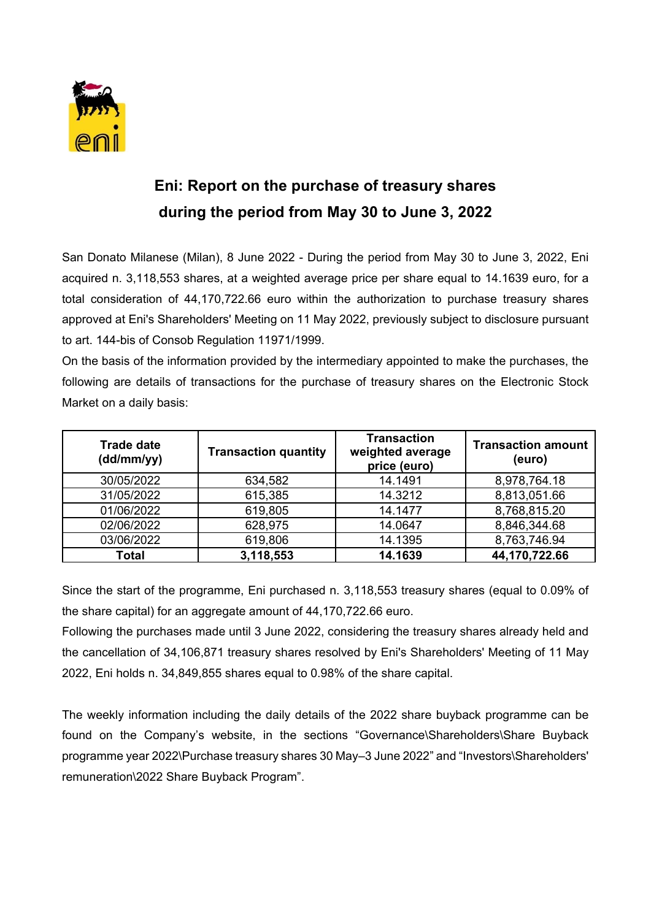

## **Eni: Report on the purchase of treasury shares during the period from May 30 to June 3, 2022**

San Donato Milanese (Milan), 8 June 2022 - During the period from May 30 to June 3, 2022, Eni acquired n. 3,118,553 shares, at a weighted average price per share equal to 14.1639 euro, for a total consideration of 44,170,722.66 euro within the authorization to purchase treasury shares approved at Eni's Shareholders' Meeting on 11 May 2022, previously subject to disclosure pursuant to art. 144-bis of Consob Regulation 11971/1999.

On the basis of the information provided by the intermediary appointed to make the purchases, the following are details of transactions for the purchase of treasury shares on the Electronic Stock Market on a daily basis:

| <b>Trade date</b><br>(dd/mm/yy) | <b>Transaction quantity</b> | <b>Transaction</b><br>weighted average<br>price (euro) | <b>Transaction amount</b><br>(euro) |
|---------------------------------|-----------------------------|--------------------------------------------------------|-------------------------------------|
| 30/05/2022                      | 634,582                     | 14.1491                                                | 8,978,764.18                        |
| 31/05/2022                      | 615,385                     | 14.3212                                                | 8,813,051.66                        |
| 01/06/2022                      | 619,805                     | 14.1477                                                | 8,768,815.20                        |
| 02/06/2022                      | 628,975                     | 14.0647                                                | 8,846,344.68                        |
| 03/06/2022                      | 619,806                     | 14.1395                                                | 8,763,746.94                        |
| Total                           | 3,118,553                   | 14.1639                                                | 44,170,722.66                       |

Since the start of the programme, Eni purchased n. 3,118,553 treasury shares (equal to 0.09% of the share capital) for an aggregate amount of 44,170,722.66 euro.

Following the purchases made until 3 June 2022, considering the treasury shares already held and the cancellation of 34,106,871 treasury shares resolved by Eni's Shareholders' Meeting of 11 May 2022, Eni holds n. 34,849,855 shares equal to 0.98% of the share capital.

The weekly information including the daily details of the 2022 share buyback programme can be found on the Company's website, in the sections "Governance\Shareholders\Share Buyback programme year 2022\Purchase treasury shares 30 May–3 June 2022" and "Investors\Shareholders' remuneration\2022 Share Buyback Program".